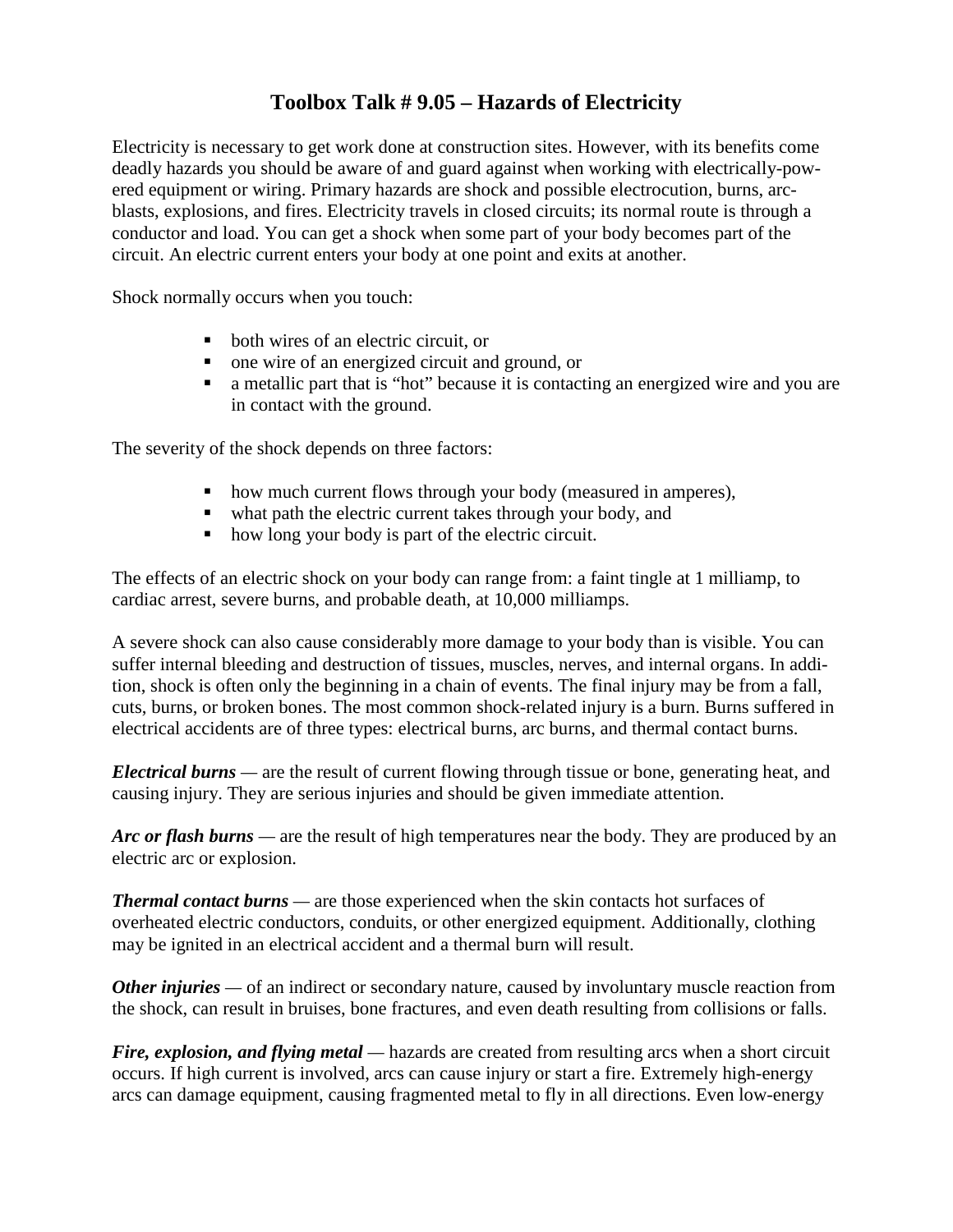## **Toolbox Talk # 9.05 – Hazards of Electricity**

Electricity is necessary to get work done at construction sites. However, with its benefits come deadly hazards you should be aware of and guard against when working with electrically-powered equipment or wiring. Primary hazards are shock and possible electrocution, burns, arcblasts, explosions, and fires. Electricity travels in closed circuits; its normal route is through a conductor and load. You can get a shock when some part of your body becomes part of the circuit. An electric current enters your body at one point and exits at another.

Shock normally occurs when you touch:

- both wires of an electric circuit, or
- one wire of an energized circuit and ground, or
- a metallic part that is "hot" because it is contacting an energized wire and you are in contact with the ground.

The severity of the shock depends on three factors:

- how much current flows through your body (measured in amperes),
- what path the electric current takes through your body, and
- how long your body is part of the electric circuit.

The effects of an electric shock on your body can range from: a faint tingle at 1 milliamp, to cardiac arrest, severe burns, and probable death, at 10,000 milliamps.

A severe shock can also cause considerably more damage to your body than is visible. You can suffer internal bleeding and destruction of tissues, muscles, nerves, and internal organs. In addition, shock is often only the beginning in a chain of events. The final injury may be from a fall, cuts, burns, or broken bones. The most common shock-related injury is a burn. Burns suffered in electrical accidents are of three types: electrical burns, arc burns, and thermal contact burns.

*Electrical burns —* are the result of current flowing through tissue or bone, generating heat, and causing injury. They are serious injuries and should be given immediate attention.

*Arc or flash burns —* are the result of high temperatures near the body. They are produced by an electric arc or explosion.

*Thermal contact burns* — are those experienced when the skin contacts hot surfaces of overheated electric conductors, conduits, or other energized equipment. Additionally, clothing may be ignited in an electrical accident and a thermal burn will result.

*Other injuries* — of an indirect or secondary nature, caused by involuntary muscle reaction from the shock, can result in bruises, bone fractures, and even death resulting from collisions or falls.

*Fire, explosion, and flying metal* — hazards are created from resulting arcs when a short circuit occurs. If high current is involved, arcs can cause injury or start a fire. Extremely high-energy arcs can damage equipment, causing fragmented metal to fly in all directions. Even low-energy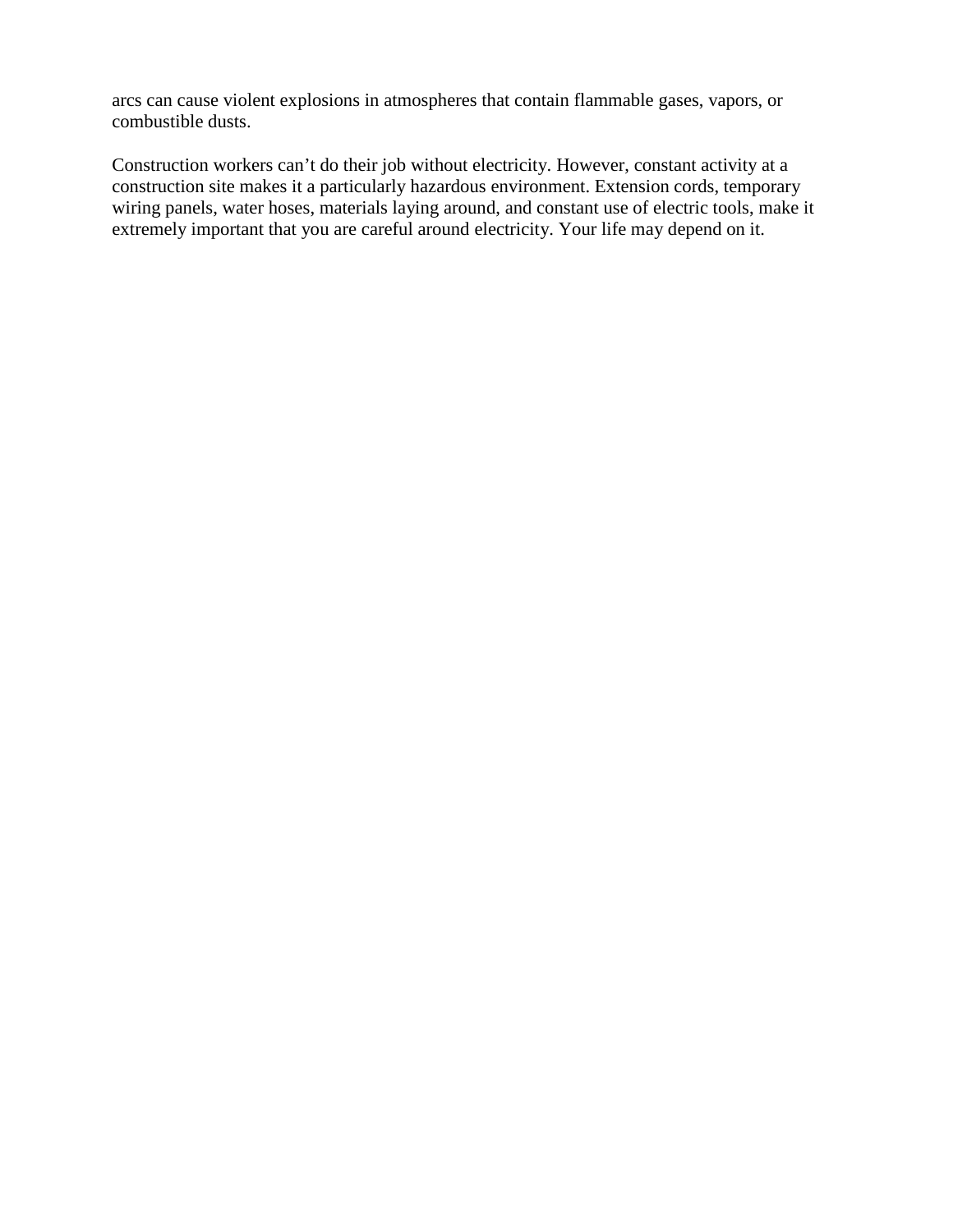arcs can cause violent explosions in atmospheres that contain flammable gases, vapors, or combustible dusts.

Construction workers can't do their job without electricity. However, constant activity at a construction site makes it a particularly hazardous environment. Extension cords, temporary wiring panels, water hoses, materials laying around, and constant use of electric tools, make it extremely important that you are careful around electricity. Your life may depend on it.